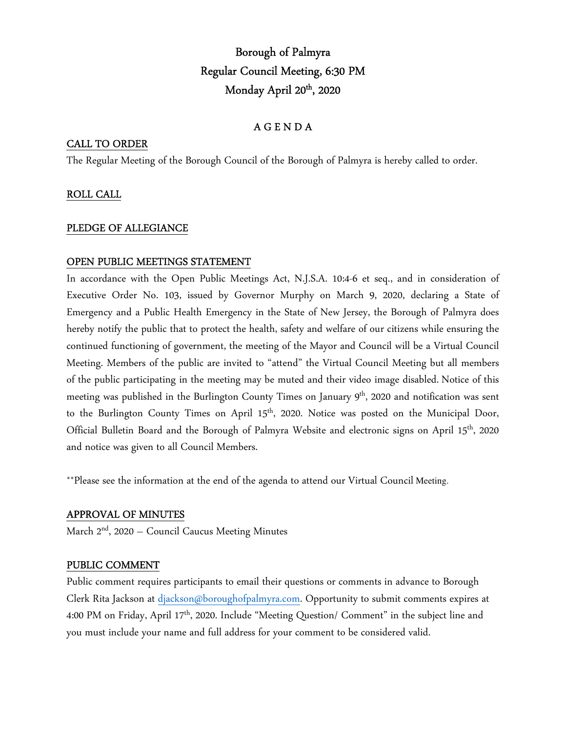# Borough of Palmyra Regular Council Meeting, 6:30 PM Monday April 20<sup>th</sup>, 2020

## A G E N D A

## CALL TO ORDER

The Regular Meeting of the Borough Council of the Borough of Palmyra is hereby called to order.

## ROLL CALL

#### PLEDGE OF ALLEGIANCE

#### OPEN PUBLIC MEETINGS STATEMENT

In accordance with the Open Public Meetings Act, N.J.S.A. 10:4-6 et seq., and in consideration of Executive Order No. 103, issued by Governor Murphy on March 9, 2020, declaring a State of Emergency and a Public Health Emergency in the State of New Jersey, the Borough of Palmyra does hereby notify the public that to protect the health, safety and welfare of our citizens while ensuring the continued functioning of government, the meeting of the Mayor and Council will be a Virtual Council Meeting. Members of the public are invited to "attend" the Virtual Council Meeting but all members of the public participating in the meeting may be muted and their video image disabled. Notice of this meeting was published in the Burlington County Times on January 9<sup>th</sup>, 2020 and notification was sent to the Burlington County Times on April 15<sup>th</sup>, 2020. Notice was posted on the Municipal Door, Official Bulletin Board and the Borough of Palmyra Website and electronic signs on April 15th, 2020 and notice was given to all Council Members.

\*\*Please see the information at the end of the agenda to attend our Virtual Council Meeting.

#### APPROVAL OF MINUTES

March  $2<sup>nd</sup>$ , 2020 – Council Caucus Meeting Minutes

#### PUBLIC COMMENT

Public comment requires participants to email their questions or comments in advance to Borough Clerk Rita Jackson at djackson@boroughofpalmyra.com. Opportunity to submit comments expires at 4:00 PM on Friday, April 17<sup>th</sup>, 2020. Include "Meeting Question/ Comment" in the subject line and you must include your name and full address for your comment to be considered valid.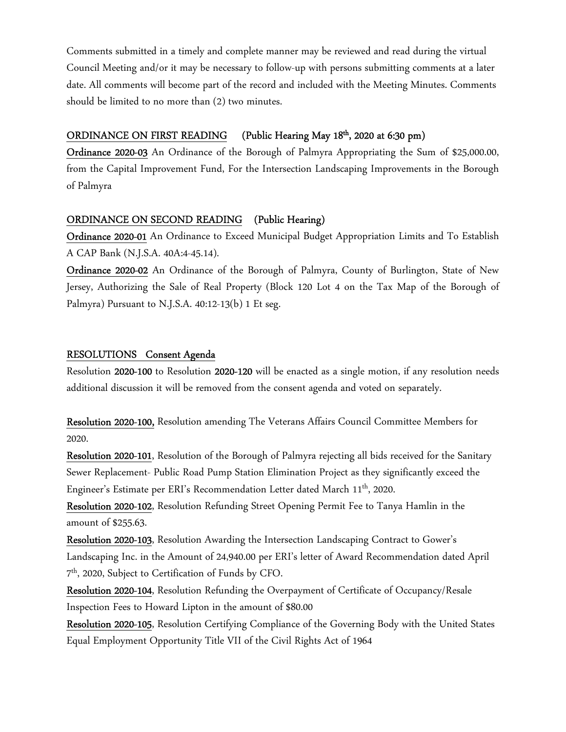Comments submitted in a timely and complete manner may be reviewed and read during the virtual Council Meeting and/or it may be necessary to follow-up with persons submitting comments at a later date. All comments will become part of the record and included with the Meeting Minutes. Comments should be limited to no more than (2) two minutes.

#### ORDINANCE ON FIRST READING (Public Hearing May 18<sup>th</sup>, 2020 at 6:30 pm)

Ordinance 2020-03 An Ordinance of the Borough of Palmyra Appropriating the Sum of \$25,000.00, from the Capital Improvement Fund, For the Intersection Landscaping Improvements in the Borough of Palmyra

#### ORDINANCE ON SECOND READING (Public Hearing)

Ordinance 2020-01 An Ordinance to Exceed Municipal Budget Appropriation Limits and To Establish A CAP Bank (N.J.S.A. 40A:4-45.14).

Ordinance 2020-02 An Ordinance of the Borough of Palmyra, County of Burlington, State of New Jersey, Authorizing the Sale of Real Property (Block 120 Lot 4 on the Tax Map of the Borough of Palmyra) Pursuant to N.J.S.A. 40:12-13(b) 1 Et seg.

#### RESOLUTIONS Consent Agenda

Resolution 2020-100 to Resolution 2020-120 will be enacted as a single motion, if any resolution needs additional discussion it will be removed from the consent agenda and voted on separately.

Resolution 2020-100, Resolution amending The Veterans Affairs Council Committee Members for 2020.

Resolution 2020-101, Resolution of the Borough of Palmyra rejecting all bids received for the Sanitary Sewer Replacement- Public Road Pump Station Elimination Project as they significantly exceed the Engineer's Estimate per ERI's Recommendation Letter dated March 11<sup>th</sup>, 2020.

Resolution 2020-102, Resolution Refunding Street Opening Permit Fee to Tanya Hamlin in the amount of \$255.63.

Resolution 2020-103, Resolution Awarding the Intersection Landscaping Contract to Gower's Landscaping Inc. in the Amount of 24,940.00 per ERI's letter of Award Recommendation dated April 7 th, 2020, Subject to Certification of Funds by CFO.

Resolution 2020-104, Resolution Refunding the Overpayment of Certificate of Occupancy/Resale Inspection Fees to Howard Lipton in the amount of \$80.00

Resolution 2020-105, Resolution Certifying Compliance of the Governing Body with the United States Equal Employment Opportunity Title VII of the Civil Rights Act of 1964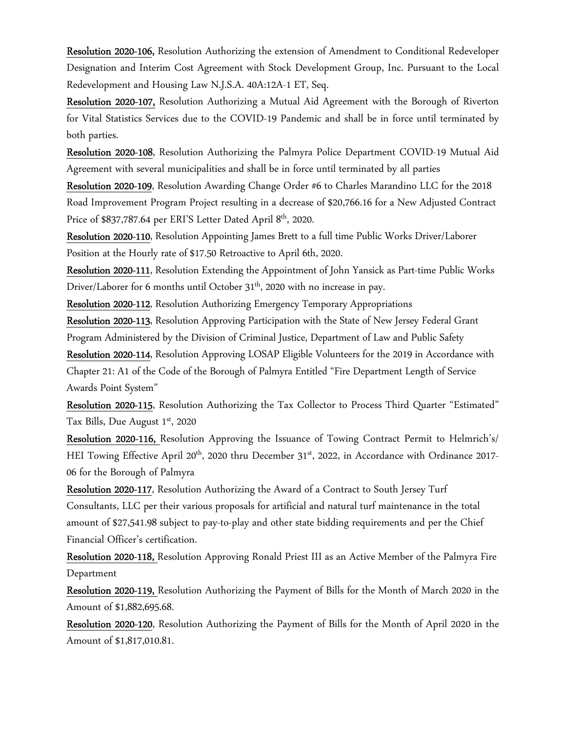Resolution 2020-106, Resolution Authorizing the extension of Amendment to Conditional Redeveloper Designation and Interim Cost Agreement with Stock Development Group, Inc. Pursuant to the Local Redevelopment and Housing Law N.J.S.A. 40A:12A-1 ET, Seq.

Resolution 2020-107, Resolution Authorizing a Mutual Aid Agreement with the Borough of Riverton for Vital Statistics Services due to the COVID-19 Pandemic and shall be in force until terminated by both parties.

Resolution 2020-108, Resolution Authorizing the Palmyra Police Department COVID-19 Mutual Aid Agreement with several municipalities and shall be in force until terminated by all parties

Resolution 2020-109, Resolution Awarding Change Order #6 to Charles Marandino LLC for the 2018 Road Improvement Program Project resulting in a decrease of \$20,766.16 for a New Adjusted Contract Price of \$837,787.64 per ERI'S Letter Dated April 8<sup>th</sup>, 2020.

Resolution 2020-110, Resolution Appointing James Brett to a full time Public Works Driver/Laborer Position at the Hourly rate of \$17.50 Retroactive to April 6th, 2020.

Resolution 2020-111, Resolution Extending the Appointment of John Yansick as Part-time Public Works Driver/Laborer for 6 months until October 31<sup>th</sup>, 2020 with no increase in pay.

Resolution 2020-112, Resolution Authorizing Emergency Temporary Appropriations

Resolution 2020-113, Resolution Approving Participation with the State of New Jersey Federal Grant Program Administered by the Division of Criminal Justice, Department of Law and Public Safety

Resolution 2020-114, Resolution Approving LOSAP Eligible Volunteers for the 2019 in Accordance with Chapter 21: A1 of the Code of the Borough of Palmyra Entitled "Fire Department Length of Service Awards Point System"

Resolution 2020-115, Resolution Authorizing the Tax Collector to Process Third Quarter "Estimated" Tax Bills, Due August 1st, 2020

Resolution 2020-116, Resolution Approving the Issuance of Towing Contract Permit to Helmrich's/ HEI Towing Effective April 20<sup>th</sup>, 2020 thru December 31<sup>st</sup>, 2022, in Accordance with Ordinance 2017-06 for the Borough of Palmyra

Resolution 2020-117, Resolution Authorizing the Award of a Contract to South Jersey Turf Consultants, LLC per their various proposals for artificial and natural turf maintenance in the total amount of \$27,541.98 subject to pay-to-play and other state bidding requirements and per the Chief Financial Officer's certification.

Resolution 2020-118, Resolution Approving Ronald Priest III as an Active Member of the Palmyra Fire Department

Resolution 2020-119, Resolution Authorizing the Payment of Bills for the Month of March 2020 in the Amount of \$1,882,695.68.

Resolution 2020-120, Resolution Authorizing the Payment of Bills for the Month of April 2020 in the Amount of \$1,817,010.81.